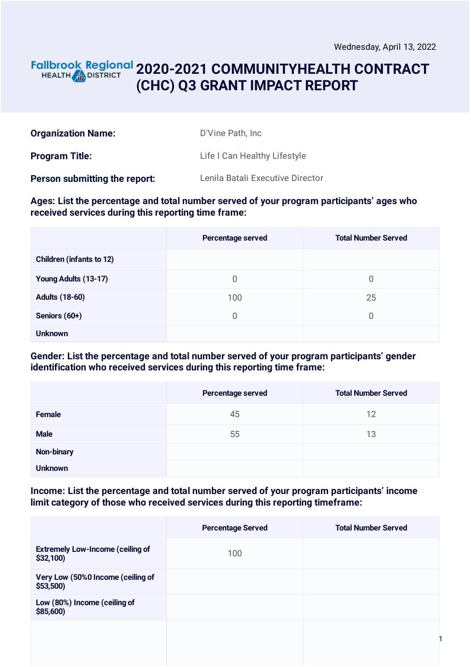### **2020-2021 COMMUNITYHEALTH CONTRACT** HEALTH **AND DISTRICT (CHC) Q3 GRANT IMPACT REPORT**

| <b>Organization Name:</b>            | D'Vine Path, Inc.                |
|--------------------------------------|----------------------------------|
| <b>Program Title:</b>                | Life I Can Healthy Lifestyle     |
| <b>Person submitting the report:</b> | Lenila Batali Executive Director |

### **Ages: List the percentage and total number served of your program participants' ages who received services during this reporting time frame:**

|                                 | Percentage served | <b>Total Number Served</b> |
|---------------------------------|-------------------|----------------------------|
| <b>Children (infants to 12)</b> |                   |                            |
| Young Adults (13-17)            | $\overline{0}$    | $\overline{0}$             |
| <b>Adults (18-60)</b>           | 100               | 25                         |
| Seniors (60+)                   | $\Omega$          | $\overline{0}$             |
| <b>Unknown</b>                  |                   |                            |

### **Gender: List the percentage and total number served of your program participants' gender identification who received services during this reporting time frame:**

|                | Percentage served | <b>Total Number Served</b> |
|----------------|-------------------|----------------------------|
| <b>Female</b>  | 45                | 12                         |
| <b>Male</b>    | 55                | 13                         |
| Non-binary     |                   |                            |
| <b>Unknown</b> |                   |                            |

### **Income: List the percentage and total number served of your program participants' income limit category of those who received services during this reporting timeframe:**

|                                                        | <b>Percentage Served</b> | <b>Total Number Served</b> |
|--------------------------------------------------------|--------------------------|----------------------------|
| <b>Extremely Low-Income (ceiling of</b><br>$$32,100$ ) | 100                      |                            |
| Very Low (50%0 Income (ceiling of<br>\$53,500          |                          |                            |
| Low (80%) Income (ceiling of<br>\$85,600)              |                          |                            |
|                                                        |                          |                            |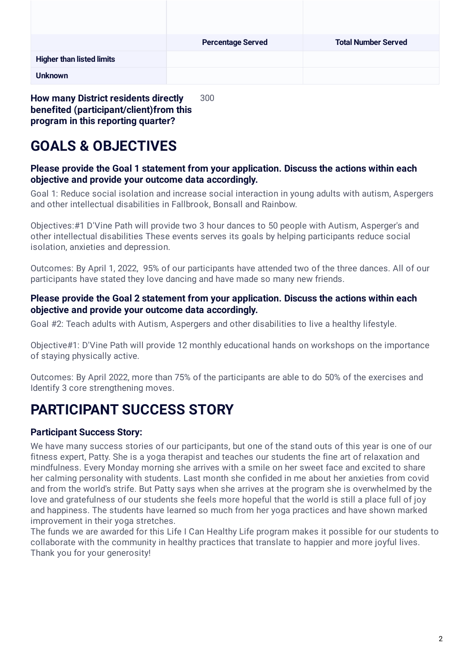|                                  | <b>Percentage Served</b> | <b>Total Number Served</b> |
|----------------------------------|--------------------------|----------------------------|
| <b>Higher than listed limits</b> |                          |                            |
| <b>Unknown</b>                   |                          |                            |

**How many District residents directly benefited (participant/client)from this program in this reporting quarter?** 300

# **GOALS & OBJECTIVES**

### **Please provide the Goal 1 statement from your application. Discuss the actions within each objective and provide your outcome data accordingly.**

Goal 1: Reduce social isolation and increase social interaction in young adults with autism, Aspergers and other intellectual disabilities in Fallbrook, Bonsall and Rainbow.

Objectives:#1 D'Vine Path will provide two 3 hour dances to 50 people with Autism, Asperger's and other intellectual disabilities These events serves its goals by helping participants reduce social isolation, anxieties and depression.

Outcomes: By April 1, 2022, 95% of our participants have attended two of the three dances. All of our participants have stated they love dancing and have made so many new friends.

### **Please provide the Goal 2 statement from your application. Discuss the actions within each objective and provide your outcome data accordingly.**

Goal #2: Teach adults with Autism, Aspergers and other disabilities to live a healthy lifestyle.

Objective#1: D'Vine Path will provide 12 monthly educational hands on workshops on the importance of staying physically active.

Outcomes: By April 2022, more than 75% of the participants are able to do 50% of the exercises and Identify 3 core strengthening moves.

## **PARTICIPANT SUCCESS STORY**

### **Participant Success Story:**

We have many success stories of our participants, but one of the stand outs of this year is one of our fitness expert, Patty. She is a yoga therapist and teaches our students the fine art of relaxation and mindfulness. Every Monday morning she arrives with a smile on her sweet face and excited to share her calming personality with students. Last month she confided in me about her anxieties from covid and from the world's strife. But Patty says when she arrives at the program she is overwhelmed by the love and gratefulness of our students she feels more hopeful that the world is still a place full of joy and happiness. The students have learned so much from her yoga practices and have shown marked improvement in their yoga stretches.

The funds we are awarded for this Life I Can Healthy Life program makes it possible for our students to collaborate with the community in healthy practices that translate to happier and more joyful lives. Thank you for your generosity!